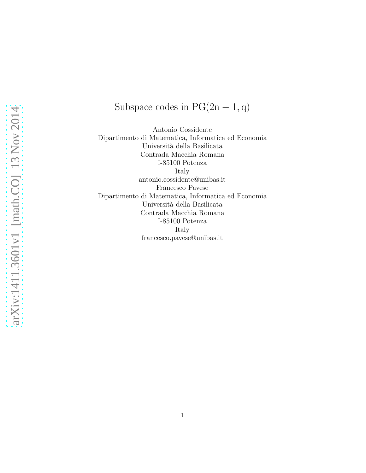# Subspace codes in  $PG(2n - 1, q)$

Antonio Cossidente Dipartimento di Matematica, Informatica ed Economia Università della Basilicata Contrada Macchia Romana I-85100 Potenza Italy antonio.cossidente@unibas.it Francesco Pavese Dipartimento di Matematica, Informatica ed Economia Università della Basilicata Contrada Macchia Romana I-85100 Potenza Italy francesco.pavese@unibas.it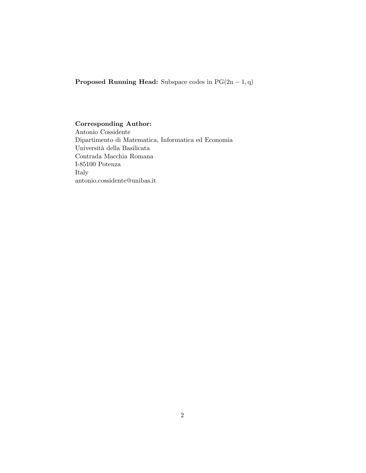**Proposed Running Head:** Subspace codes in  $PG(2n - 1, q)$ 

#### Corresponding Author:

Antonio Cossidente Dipartimento di Matematica, Informatica ed Economia Università della Basilicata Contrada Macchia Romana I-85100 Potenza Italy antonio.cossidente@unibas.it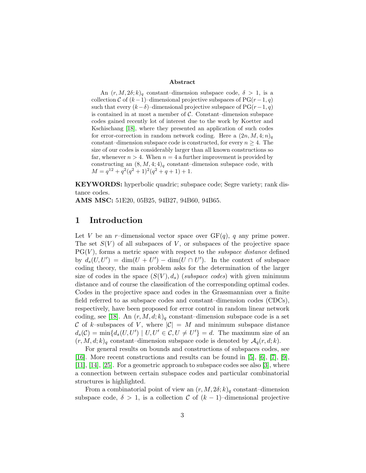#### Abstract

An  $(r, M, 2\delta; k)_q$  constant–dimension subspace code,  $\delta > 1$ , is a collection C of  $(k-1)$ –dimensional projective subspaces of PG $(r-1, q)$ such that every  $(k-\delta)$ –dimensional projective subspace of PG $(r-1, q)$ is contained in at most a member of  $C$ . Constant–dimension subspace codes gained recently lot of interest due to the work by Koetter and Kschischang [\[18\]](#page-18-0), where they presented an application of such codes for error-correction in random network coding. Here a  $(2n, M, 4; n)$ constant–dimension subspace code is constructed, for every  $n \geq 4$ . The size of our codes is considerably larger than all known constructions so far, whenever  $n > 4$ . When  $n = 4$  a further improvement is provided by constructing an  $(8, M, 4; 4)_q$  constant-dimension subspace code, with  $M = q^{12} + q^2(q^2+1)^2(q^2+q+1) + 1.$ 

KEYWORDS: hyperbolic quadric; subspace code; Segre variety; rank distance codes.

AMS MSC: 51E20, 05B25, 94B27, 94B60, 94B65.

## 1 Introduction

Let V be an r–dimensional vector space over  $GF(q)$ , q any prime power. The set  $S(V)$  of all subspaces of V, or subspaces of the projective space  $PG(V)$ , forms a metric space with respect to the *subspace distance* defined by  $d_s(U, U') = \dim(U + U') - \dim(U \cap U')$ . In the context of subspace coding theory, the main problem asks for the determination of the larger size of codes in the space  $(S(V), d_s)$  (subspace codes) with given minimum distance and of course the classification of the corresponding optimal codes. Codes in the projective space and codes in the Grassmannian over a finite field referred to as subspace codes and constant–dimension codes (CDCs), respectively, have been proposed for error control in random linear network coding, see [\[18\]](#page-18-0). An  $(r, M, d; k)$ <sub>q</sub> constant–dimension subspace code is a set C of k–subspaces of V, where  $|\mathcal{C}| = M$  and minimum subspace distance  $d_s(\mathcal{C}) = \min \{ d_s(U, U') \mid U, U' \in \mathcal{C}, U \neq U' \} = d$ . The maximum size of an  $(r, M, d; k)_q$  constant–dimension subspace code is denoted by  $\mathcal{A}_q(r, d; k)$ .

For general results on bounds and constructions of subspaces codes, see [\[16\]](#page-18-1). More recent constructions and results can be found in [\[5\]](#page-17-0), [\[6\]](#page-17-1), [\[7\]](#page-17-2), [\[9\]](#page-17-3), [\[11\]](#page-17-4), [\[14\]](#page-18-2), [\[25\]](#page-18-3). For a geometric approach to subspace codes see also [\[3\]](#page-17-5), where a connection between certain subspace codes and particular combinatorial structures is highlighted.

From a combinatorial point of view an  $(r, M, 2\delta; k)_q$  constant-dimension subspace code,  $\delta > 1$ , is a collection C of  $(k-1)$ –dimensional projective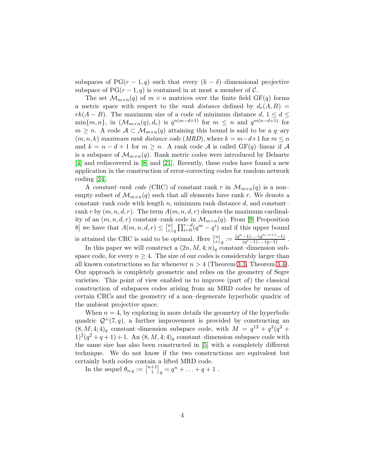subspaces of  $PG(r-1,q)$  such that every  $(k-\delta)$ –dimensional projective subspace of  $PG(r-1, q)$  is contained in at most a member of C.

The set  $\mathcal{M}_{m \times n}(q)$  of  $m \times n$  matrices over the finite field GF(q) forms a metric space with respect to the *rank distance* defined by  $d_r(A, B) =$  $rk(A - B)$ . The maximum size of a code of minimum distance  $d, 1 \leq d \leq$  $\min\{m,n\}$ , in  $(\mathcal{M}_{m\times n}(q),d_r)$  is  $q^{n(m-d+1)}$  for  $m \leq n$  and  $q^{m(n-d+1)}$  for  $m \geq n$ . A code  $\mathcal{A} \subset \mathcal{M}_{m \times n}(q)$  attaining this bound is said to be a q-ary  $(m, n, k)$  maximum rank distance code (MRD), where  $k = m-d+1$  for  $m \leq n$ and  $k = n - d + 1$  for  $m \geq n$ . A rank code A is called  $GF(q)$ –linear if A is a subspace of  $\mathcal{M}_{m\times n}(q)$ . Rank metric codes were introduced by Delsarte [\[4\]](#page-17-6) and rediscovered in [\[8\]](#page-17-7) and [\[21\]](#page-18-4). Recently, these codes have found a new application in the construction of error-correcting codes for random network coding [\[24\]](#page-18-5).

A constant–rank code (CRC) of constant rank r in  $\mathcal{M}_{m\times n}(q)$  is a non– empty subset of  $\mathcal{M}_{m \times n}(q)$  such that all elements have rank r. We denote a constant–rank code with length  $n$ , minimum rank distance  $d$ , and constant– rank r by  $(m, n, d, r)$ . The term  $A(m, n, d, r)$  denotes the maximum cardinality of an  $(m, n, d, r)$  constant–rank code in  $\mathcal{M}_{m \times n}(q)$ . From [\[9,](#page-17-3) Proposition 8 we have that  $A(m, n, d, r) \leq \binom{n}{r}$  $\int_{r}^{m} \prod_{i=0}^{r-d} (q^m - q^i)$  and if this upper bound is attained the CRC is said to be optimal. Here  $\binom{n}{r}$  $\binom{n}{r}_q := \frac{(q^n-1)\cdot \ldots \cdot (q^{n-r+1}-1)}{(q^r-1)\cdot \ldots \cdot (q-1)}$  $\frac{(-1)^{r}...(q^{r}-1)}{(q^{r}-1)...(q-1)}$ .

In this paper we will construct a  $(2n, M, 4; n)$ <sub>q</sub> constant–dimension subspace code, for every  $n \geq 4$ . The size of our codes is considerably larger than all known constructions so far whenever  $n > 4$  (Theorem [3.3,](#page-13-0) Theorem [3.4\)](#page-15-0). Our approach is completely geometric and relies on the geometry of Segre varieties. This point of view enabled us to improve (part of) the classical construction of subspaces codes arising from an MRD codes by means of certain CRCs and the geometry of a non–degenerate hyperbolic quadric of the ambient projective space.

When  $n = 4$ , by exploring in more details the geometry of the hyperbolic quadric  $\mathcal{Q}^+(7,q)$ , a further improvement is provided by constructing an  $(8, M, 4; 4)_q$  constant-dimension subspace code, with  $M = q^{12} + q^2(q^2 +$  $1)^2(q^2+q+1)+1$ . An  $(8, M, 4; 4)_q$  constant-dimension subspace code with the same size has also been constructed in [\[5\]](#page-17-0) with a completely different technique. We do not know if the two constructions are equivalent but certainly both codes contain a lifted MRD code.

In the sequel  $\theta_{n,q} := \begin{bmatrix} n+1 \\ 1 \end{bmatrix}$  $\binom{+1}{1}_q = q^n + \ldots + q + 1$ .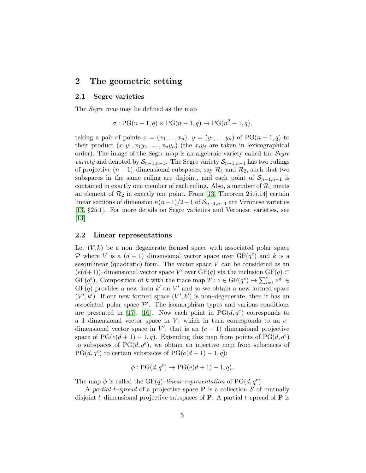## 2 The geometric setting

#### 2.1 Segre varieties

The *Segre map* may be defined as the map

$$
\sigma: PG(n-1, q) \times PG(n-1, q) \rightarrow PG(n^2-1, q),
$$

taking a pair of points  $x = (x_1, \ldots, x_n), y = (y_1, \ldots, y_n)$  of  $PG(n-1, q)$  to their product  $(x_1y_1, x_1y_2, \ldots, x_ny_n)$  (the  $x_iy_j$  are taken in lexicographical order). The image of the Segre map is an algebraic variety called the Segre *variety* and denoted by  $S_{n-1,n-1}$ . The Segre variety  $S_{n-1,n-1}$  has two rulings of projective  $(n-1)$ –dimensional subspaces, say  $\mathcal{R}_1$  and  $\mathcal{R}_2$ , such that two subspaces in the same ruling are disjoint, and each point of  $S_{n-1,n-1}$  is contained in exactly one member of each ruling. Also, a member of  $\mathcal{R}_1$  meets an element of  $\mathcal{R}_2$  in exactly one point. From [\[13,](#page-17-8) Theorem 25.5.14] certain linear sections of dimension  $n(n+1)/2-1$  of  $\mathcal{S}_{n-1,n-1}$  are Veronese varieties [\[13,](#page-17-8) §25.1]. For more details on Segre varieties and Veronese varieties, see [\[13\]](#page-17-8)

#### 2.2 Linear representations

Let  $(V, k)$  be a non-degenerate formed space with associated polar space P where V is a  $(d+1)$ -dimensional vector space over  $GF(q<sup>e</sup>)$  and k is a sesquilinear (quadratic) form. The vector space  $V$  can be considered as an  $(e(d+1))$ -dimensional vector space V' over GF(q) via the inclusion GF(q) ⊂  $GF(q^e)$ . Composition of k with the trace map  $T : z \in GF(q^e) \mapsto \sum_{i=1}^e z^{q^i} \in$  $GF(q)$  provides a new form k' on V' and so we obtain a new formed space  $(V', k')$ . If our new formed space  $(V', k')$  is non-degenerate, then it has an associated polar space  $\mathcal{P}'$ . The isomorphism types and various conditions are presented in [\[17\]](#page-18-6), [\[10\]](#page-17-9). Now each point in  $PG(d, q^e)$  corresponds to a 1-dimensional vector space in V, which in turn corresponds to an  $e$ dimensional vector space in  $V'$ , that is an  $(e-1)$ -dimensional projective space of PG( $e(d+1) - 1, q$ ). Extending this map from points of PG( $d, q^e$ ) to subspaces of  $PG(d, q^e)$ , we obtain an injective map from subspaces of  $PG(d, q^e)$  to certain subspaces of  $PG(e(d + 1) - 1, q)$ :

$$
\phi: PG(d, q^e) \to PG(e(d+1) - 1, q).
$$

The map  $\phi$  is called the GF(q)–linear representation of PG(d,  $q^e$ ).

A partial t–spread of a projective space **P** is a collection S of mutually disjoint t–dimensional projective subspaces of **P**. A partial t–spread of **P** is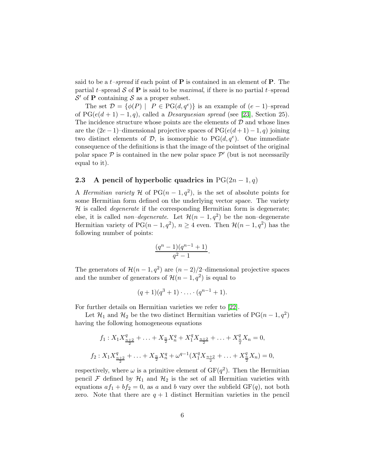said to be a *t*-spread if each point of **P** is contained in an element of **P**. The partial t–spread S of **P** is said to be *maximal*, if there is no partial t–spread  $\mathcal{S}'$  of **P** containing  $\mathcal{S}$  as a proper subset.

The set  $\mathcal{D} = \{ \phi(P) \mid P \in PG(d, q^e) \}$  is an example of  $(e-1)$ -spread of  $PG(e(d + 1) - 1, q)$ , called a *Desarguesian spread* (see [\[23\]](#page-18-7), Section 25). The incidence structure whose points are the elements of  $D$  and whose lines are the  $(2e-1)$ –dimensional projective spaces of  $PG(e(d+1)-1, q)$  joining two distinct elements of  $\mathcal{D}$ , is isomorphic to PG $(d, q^e)$ . One immediate consequence of the definitions is that the image of the pointset of the original polar space  $P$  is contained in the new polar space  $P'$  (but is not necessarily equal to it).

#### <span id="page-5-0"></span>2.3 A pencil of hyperbolic quadrics in  $PG(2n-1, q)$

A *Hermitian variety* H of  $PG(n-1, q^2)$ , is the set of absolute points for some Hermitian form defined on the underlying vector space. The variety  $H$  is called *degenerate* if the corresponding Hermitian form is degenerate; else, it is called *non–degenerate*. Let  $\mathcal{H}(n-1, q^2)$  be the non–degenerate Hermitian variety of  $PG(n-1, q^2), n \geq 4$  even. Then  $\mathcal{H}(n-1, q^2)$  has the following number of points:

$$
\frac{(q^n-1)(q^{n-1}+1)}{q^2-1}.
$$

The generators of  $\mathcal{H}(n-1, q^2)$  are  $(n-2)/2$ -dimensional projective spaces and the number of generators of  $\mathcal{H}(n-1, q^2)$  is equal to

$$
(q+1)(q^3+1)\cdot\ldots\cdot(q^{n-1}+1).
$$

For further details on Hermitian varieties we refer to [\[22\]](#page-18-8).

Let  $\mathcal{H}_1$  and  $\mathcal{H}_2$  be the two distinct Hermitian varieties of PG(n – 1,  $q^2$ ) having the following homogeneous equations

$$
f_1: X_1 X_{\frac{n+2}{2}}^q + \ldots + X_{\frac{n}{2}} X_n^q + X_1^q X_{\frac{n+2}{2}} + \ldots + X_{\frac{n}{2}}^q X_n = 0,
$$
  

$$
f_2: X_1 X_{\frac{n+2}{2}}^q + \ldots + X_{\frac{n}{2}} X_n^q + \omega^{q-1} (X_1^q X_{\frac{n+2}{2}} + \ldots + X_{\frac{n}{2}}^q X_n) = 0,
$$

respectively, where  $\omega$  is a primitive element of  $GF(q^2)$ . Then the Hermitian pencil F defined by  $\mathcal{H}_1$  and  $\mathcal{H}_2$  is the set of all Hermitian varieties with equations  $af_1 + bf_2 = 0$ , as a and b vary over the subfield  $GF(q)$ , not both zero. Note that there are  $q + 1$  distinct Hermitian varieties in the pencil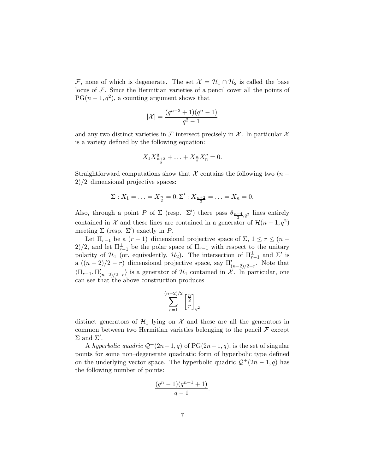F, none of which is degenerate. The set  $\mathcal{X} = \mathcal{H}_1 \cap \mathcal{H}_2$  is called the base locus of  $F$ . Since the Hermitian varieties of a pencil cover all the points of  $PG(n-1, q^2)$ , a counting argument shows that

$$
|\mathcal{X}| = \frac{(q^{n-2}+1)(q^n-1)}{q^2-1}
$$

and any two distinct varieties in  $\mathcal F$  intersect precisely in  $\mathcal X$ . In particular  $\mathcal X$ is a variety defined by the following equation:

$$
X_1 X_{\frac{n+2}{2}}^q + \ldots + X_{\frac{n}{2}} X_n^q = 0.
$$

Straightforward computations show that X contains the following two  $(n -$ 2)/2–dimensional projective spaces:

$$
\Sigma: X_1 = \ldots = X_{\frac{n}{2}} = 0, \Sigma': X_{\frac{n+2}{2}} = \ldots = X_n = 0.
$$

Also, through a point P of  $\Sigma$  (resp.  $\Sigma'$ ) there pass  $\theta_{\frac{n-4}{2},q^2}$  lines entirely contained in X and these lines are contained in a generator of  $\mathcal{H}(n-1, q^2)$ meeting  $\Sigma$  (resp.  $\Sigma'$ ) exactly in P.

Let  $\Pi_{r-1}$  be a  $(r-1)$ –dimensional projective space of  $\Sigma$ ,  $1 \le r \le (n-1)$ 2)/2, and let  $\Pi_{r-1}^{\perp}$  be the polar space of  $\Pi_{r-1}$  with respect to the unitary polarity of  $\mathcal{H}_1$  (or, equivalently,  $\mathcal{H}_2$ ). The intersection of  $\Pi_{r-1}^{\perp}$  and  $\Sigma'$  is a  $((n-2)/2 - r)$ -dimensional projective space, say  $\Pi'_{(n-2)/2-r}$ . Note that  $\langle \Pi_{r-1}, \Pi'_{(n-2)/2-r} \rangle$  is a generator of  $\mathcal{H}_1$  contained in  $\mathcal{X}$ . In particular, one can see that the above construction produces

$$
\sum_{r=1}^{(n-2)/2} \left[\frac{n}{r}\right]_{q^2}
$$

distinct generators of  $\mathcal{H}_1$  lying on  $\mathcal X$  and these are all the generators in common between two Hermitian varieties belonging to the pencil  $\mathcal F$  except  $\Sigma$  and  $\Sigma'$ .

A hyperbolic quadric  $\mathcal{Q}^+(2n-1, q)$  of PG(2n - 1, q), is the set of singular points for some non–degenerate quadratic form of hyperbolic type defined on the underlying vector space. The hyperbolic quadric  $\mathcal{Q}^+(2n-1, q)$  has the following number of points:

$$
\frac{(q^n-1)(q^{n-1}+1)}{q-1}.
$$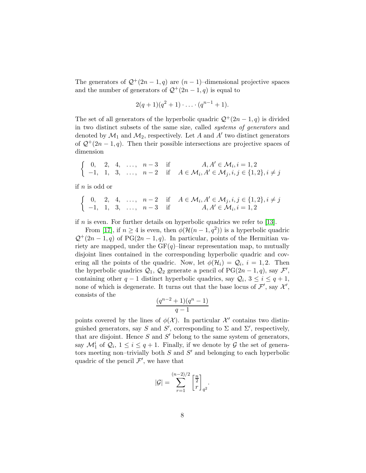The generators of  $\mathcal{Q}^+(2n-1,q)$  are  $(n-1)$ –dimensional projective spaces and the number of generators of  $\mathcal{Q}^+(2n-1,q)$  is equal to

$$
2(q+1)(q^2+1)\cdot\ldots\cdot(q^{n-1}+1).
$$

The set of all generators of the hyperbolic quadric  $\mathcal{Q}^+(2n-1, q)$  is divided in two distinct subsets of the same size, called systems of generators and denoted by  $\mathcal{M}_1$  and  $\mathcal{M}_2$ , respectively. Let A and A' two distinct generators of  $\mathcal{Q}^+(2n-1, q)$ . Then their possible intersections are projective spaces of dimension

$$
\begin{cases} 0, & 2, 4, \dots, n-3 \text{ if } A, A' \in \mathcal{M}_i, i = 1, 2 \\ -1, & 1, 3, \dots, n-2 \text{ if } A \in \mathcal{M}_i, A' \in \mathcal{M}_j, i, j \in \{1, 2\}, i \neq j \end{cases}
$$

if n is odd or

$$
\begin{cases} 0, & 2, 4, \dots, n-2 \text{ if } A \in \mathcal{M}_i, A' \in \mathcal{M}_j, i, j \in \{1, 2\}, i \neq j \\ -1, & 1, 3, \dots, n-3 \text{ if } A, A' \in \mathcal{M}_i, i = 1, 2 \end{cases}
$$

if n is even. For further details on hyperbolic quadrics we refer to [\[13\]](#page-17-8).

From [\[17\]](#page-18-6), if  $n \geq 4$  is even, then  $\phi(\mathcal{H}(n-1,q^2))$  is a hyperbolic quadric  $\mathcal{Q}^+(2n-1,q)$  of PG(2n - 1, q). In particular, points of the Hermitian variety are mapped, under the  $GF(q)$ –linear representation map, to mutually disjoint lines contained in the corresponding hyperbolic quadric and covering all the points of the quadric. Now, let  $\phi(\mathcal{H}_i) = \mathcal{Q}_i$ ,  $i = 1, 2$ . Then the hyperbolic quadrics  $\mathcal{Q}_1, \mathcal{Q}_2$  generate a pencil of PG(2n – 1, q), say  $\mathcal{F}',$ containing other  $q-1$  distinct hyperbolic quadrics, say  $\mathcal{Q}_i$ ,  $3 \leq i \leq q+1$ , none of which is degenerate. It turns out that the base locus of  $\mathcal{F}'$ , say  $\mathcal{X}'$ , consists of the

$$
\frac{(q^{n-2}+1)(q^n-1)}{q-1}
$$

points covered by the lines of  $\phi(\mathcal{X})$ . In particular  $\mathcal{X}'$  contains two distinguished generators, say S and S', corresponding to  $\Sigma$  and  $\Sigma'$ , respectively, that are disjoint. Hence  $S$  and  $S'$  belong to the same system of generators, say  $\mathcal{M}_1^i$  of  $\mathcal{Q}_i$ ,  $1 \leq i \leq q+1$ . Finally, if we denote by  $\mathcal G$  the set of generators meeting non-trivially both  $S$  and  $S'$  and belonging to each hyperbolic quadric of the pencil  $\mathcal{F}'$ , we have that

$$
|\mathcal{G}| = \sum_{r=1}^{(n-2)/2} \left[\frac{n}{r}\right]_{q^2}.
$$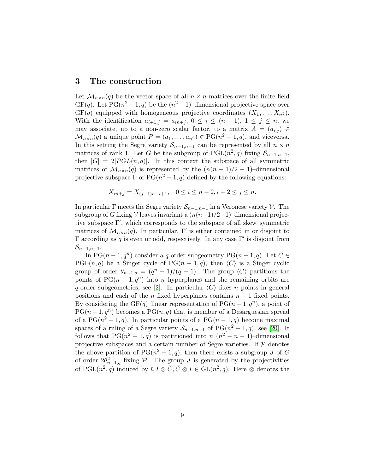### 3 The construction

Let  $\mathcal{M}_{n\times n}(q)$  be the vector space of all  $n \times n$  matrices over the finite field  $GF(q)$ . Let  $PG(n^2-1, q)$  be the  $(n^2-1)$ -dimensional projective space over  $GF(q)$  equipped with homogeneous projective coordinates  $(X_1, \ldots, X_n^2)$ . With the identification  $a_{i+1,j} = a_{in+j}, 0 \leq i \leq (n-1), 1 \leq j \leq n$ , we may associate, up to a non-zero scalar factor, to a matrix  $A = (a_{i,j}) \in$  $\mathcal{M}_{n\times n}(q)$  a unique point  $P=(a_1,\ldots,a_{n^2})\in \mathrm{PG}(n^2-1,q)$ , and viceversa. In this setting the Segre variety  $S_{n-1,n-1}$  can be represented by all  $n \times n$ matrices of rank 1. Let G be the subgroup of  $PGL(n^2, q)$  fixing  $S_{n-1,n-1}$ , then  $|G| = 2|PGL(n,q)|$ . In this context the subspace of all symmetric matrices of  $\mathcal{M}_{n\times n}(q)$  is represented by the  $(n(n+1)/2-1)$ –dimensional projective subspace  $\Gamma$  of  $PG(n^2-1, q)$  defined by the following equations:

$$
X_{in+j} = X_{(j-1)n+i+1}, \quad 0 \le i \le n-2, i+2 \le j \le n.
$$

In particular  $\Gamma$  meets the Segre variety  $S_{n-1,n-1}$  in a Veronese variety  $\mathcal V$ . The subgroup of G fixing V leaves invariant a  $(n(n-1)/2-1)$ –dimensional projective subspace Γ′ , which corresponds to the subspace of all skew–symmetric matrices of  $\mathcal{M}_{n\times n}(q)$ . In particular, Γ' is either contained in or disjoint to Γ according as q is even or odd, respectively. In any case  $Γ'$  is disjoint from  $\mathcal{S}_{n-1,n-1}$ .

In PG( $n-1, q^n$ ) consider a q-order subgeometry PG( $n-1, q$ ). Let  $C \in$ PGL(n, q) be a Singer cycle of PG(n – 1, q), then  $\langle C \rangle$  is a Singer cyclic group of order  $\theta_{n-1,q} = (q^n - 1)/(q - 1)$ . The group  $\langle C \rangle$  partitions the points of  $PG(n-1,q^n)$  into n hyperplanes and the remaining orbits are q-order subgeometries, see [\[2\]](#page-17-10). In particular  $\langle C \rangle$  fixes n points in general positions and each of the n fixed hyperplanes contains  $n-1$  fixed points. By considering the GF(q)–linear representation of  $PG(n-1, q^n)$ , a point of  $PG(n-1, q^n)$  becomes a  $PG(n, q)$  that is member of a Desarguesian spread of a  $PG(n^2-1, q)$ . In particular points of a  $PG(n-1, q)$  become maximal spaces of a ruling of a Segre variety  $S_{n-1,n-1}$  of PG( $n^2-1,q$ ), see [\[20\]](#page-18-9). It follows that  $PG(n^2 - 1, q)$  is partitioned into  $n (n^2 - n - 1)$ -dimensional projective subspaces and a certain number of Segre varieties. If  $P$  denotes the above partition of  $PG(n^2-1, q)$ , then there exists a subgroup J of G of order  $2\theta_{n-1,q}^2$  fixing P. The group J is generated by the projectivities of PGL $(n^2, q)$  induced by  $\overline{\iota}, I \otimes \overline{C}, \overline{C} \otimes I \in GL(n^2, q)$ . Here  $\otimes$  denotes the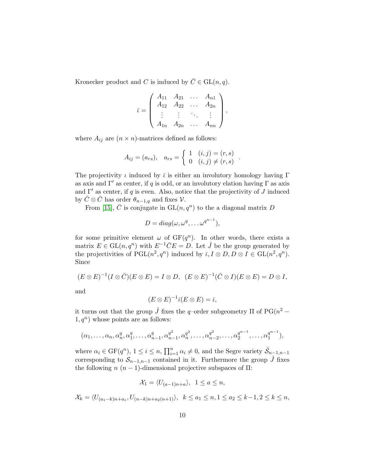Kronecker product and C is induced by  $\overline{C} \in GL(n, q)$ .

$$
\bar{\iota} = \left( \begin{array}{cccc} A_{11} & A_{21} & \dots & A_{n1} \\ A_{12} & A_{22} & \dots & A_{2n} \\ \vdots & \vdots & \ddots & \vdots \\ A_{1n} & A_{2n} & \dots & A_{nn} \end{array} \right),
$$

where  $A_{ij}$  are  $(n \times n)$ -matrices defined as follows:

$$
A_{ij} = (a_{rs}), \quad a_{rs} = \begin{cases} 1 & (i,j) = (r,s) \\ 0 & (i,j) \neq (r,s) \end{cases}
$$

.

The projectivity  $\iota$  induced by  $\bar{\iota}$  is either an involutory homology having  $\Gamma$ as axis and  $\Gamma'$  as center, if q is odd, or an involutory elation having  $\Gamma$  as axis and  $\Gamma'$  as center, if q is even. Also, notice that the projectivity of J induced by  $\bar{C} \otimes \bar{C}$  has order  $\theta_{n-1,q}$  and fixes  $\mathcal{V}$ .

From [\[15\]](#page-18-10),  $\overline{C}$  is conjugate in  $\text{GL}(n, q^n)$  to the a diagonal matrix D

$$
D = diag(\omega, \omega^q, \dots \omega^{q^{n-1}}),
$$

for some primitive element  $\omega$  of  $GF(q^n)$ . In other words, there exists a matrix  $E \in GL(n, q^n)$  with  $E^{-1}\overline{C}E = D$ . Let  $\hat{J}$  be the group generated by the projectivities of  $PGL(n^2, q^n)$  induced by  $\overline{\iota}, I \otimes D, D \otimes I \in GL(n^2, q^n)$ . Since

$$
(E \otimes E)^{-1}(I \otimes \overline{C})(E \otimes E) = I \otimes D, \ \ (E \otimes E)^{-1}(\overline{C} \otimes I)(E \otimes E) = D \otimes I,
$$

and

$$
(E \otimes E)^{-1}\overline{\iota}(E \otimes E) = \overline{\iota},
$$

it turns out that the group  $\hat{J}$  fixes the q-order subgeometry  $\Pi$  of PG( $n^2$  –  $1, q^n$ ) whose points are as follows:

$$
(\alpha_1, \ldots, \alpha_n, \alpha_n^q, \alpha_1^q, \ldots, \alpha_{n-1}^q, \alpha_{n-1}^{q^2}, \alpha_n^{q^2}, \ldots, \alpha_{n-2}^{q^2}, \ldots, \alpha_2^{q^{n-1}}, \ldots, \alpha_1^{q^{n-1}}),
$$

where  $\alpha_i \in \mathrm{GF}(q^n)$ ,  $1 \leq i \leq n$ ,  $\prod_{i=1}^n \alpha_i \neq 0$ , and the Segre variety  $\hat{\mathcal{S}}_{n-1,n-1}$ corresponding to  $S_{n-1,n-1}$  contained in it. Furthermore the group  $\hat{J}$  fixes the following  $n (n - 1)$ -dimensional projective subspaces of  $\Pi$ :

$$
\mathcal{X}_1 = \langle U_{(a-1)n+a} \rangle, \ \ 1 \le a \le n,
$$

$$
\mathcal{X}_k = \langle U_{(a_1-k)n + a_1}, U_{(n-k)n + a_2(n+1)} \rangle, \ \ k \le a_1 \le n, 1 \le a_2 \le k - 1, 2 \le k \le n,
$$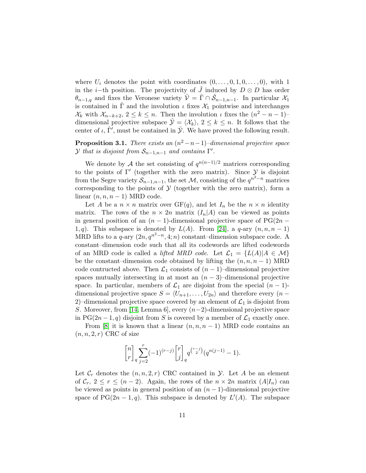where  $U_i$  denotes the point with coordinates  $(0, \ldots, 0, 1, 0, \ldots, 0)$ , with 1 in the *i*−th position. The projectivity of J induced by  $D \otimes D$  has order  $\theta_{n-1,q}$  and fixes the Veronese variety  $\hat{\mathcal{V}} = \hat{\Gamma} \cap \hat{\mathcal{S}}_{n-1,n-1}$ . In particular  $\mathcal{X}_1$ is contained in  $\hat{\Gamma}$  and the involution  $\iota$  fixes  $\mathcal{X}_1$  pointwise and interchanges  $\mathcal{X}_k$  with  $\mathcal{X}_{n-k+2}$ ,  $2 \leq k \leq n$ . Then the involution  $\iota$  fixes the  $(n^2 - n - 1)$ dimensional projective subspace  $\hat{\mathcal{Y}} = \langle \mathcal{X}_k \rangle$ ,  $2 \leq k \leq n$ . It follows that the center of  $\iota$ ,  $\hat{\Gamma'}$ , must be contained in  $\hat{\mathcal{Y}}$ . We have proved the following result.

**Proposition 3.1.** There exists an  $(n^2 - n - 1)$ –dimensional projective space  $\mathcal Y$  that is disjoint from  $\mathcal S_{n-1,n-1}$  and contains  $\Gamma'.$ 

We denote by A the set consisting of  $q^{n(n-1)/2}$  matrices corresponding to the points of  $\Gamma'$  (together with the zero matrix). Since  $\mathcal Y$  is disjoint from the Segre variety  $\mathcal{S}_{n-1,n-1}$ , the set  $\mathcal{M}$ , consisting of the  $q^{n^2-n}$  matrices corresponding to the points of  $\mathcal Y$  (together with the zero matrix), form a linear  $(n, n, n - 1)$  MRD code.

Let A be a  $n \times n$  matrix over  $GF(q)$ , and let  $I_n$  be the  $n \times n$  identity matrix. The rows of the  $n \times 2n$  matrix  $(I_n|A)$  can be viewed as points in general position of an  $(n-1)$ -dimensional projective space of PG(2n – 1, q). This subspace is denoted by  $L(A)$ . From [\[24\]](#page-18-5), a q-ary  $(n, n, n - 1)$ MRD lifts to a q-ary  $(2n, q^{n^2-n}, 4; n)$  constant–dimension subspace code. A constant–dimension code such that all its codewords are lifted codewords of an MRD code is called a *lifted MRD code*. Let  $\mathcal{L}_1 = \{L(A)|A \in \mathcal{M}\}\$ be the constant–dimension code obtained by lifting the  $(n, n, n - 1)$  MRD code contructed above. Then  $\mathcal{L}_1$  consists of  $(n-1)$ –dimensional projective spaces mutually intersecting in at most an  $(n-3)$ –dimensional projective space. In particular, members of  $\mathcal{L}_1$  are disjoint from the special  $(n-1)$ dimensional projective space  $S = \langle U_{n+1}, \ldots, U_{2n} \rangle$  and therefore every  $(n -$ 2)–dimensional projective space covered by an element of  $\mathcal{L}_1$  is disjoint from S. Moreover, from [\[14,](#page-18-2) Lemma 6], every  $(n-2)$ -dimensional projective space in PG(2n – 1, q) disjoint from S is covered by a member of  $\mathcal{L}_1$  exactly once.

From [\[8\]](#page-17-7) it is known that a linear  $(n, n, n - 1)$  MRD code contains an  $(n, n, 2, r)$  CRC of size

$$
{n \brack r}_q\sum_{j=2}^r (-1)^{(r-j)}{r \brack j}_q q^{r-j \choose 2} (q^{n(j-1)}-1).
$$

Let  $\mathcal{C}_r$  denotes the  $(n, n, 2, r)$  CRC contained in  $\mathcal{Y}$ . Let A be an element of  $C_r$ ,  $2 \le r \le (n-2)$ . Again, the rows of the  $n \times 2n$  matrix  $(A|I_n)$  can be viewed as points in general position of an  $(n-1)$ -dimensional projective space of PG( $2n-1, q$ ). This subspace is denoted by  $L'(A)$ . The subspace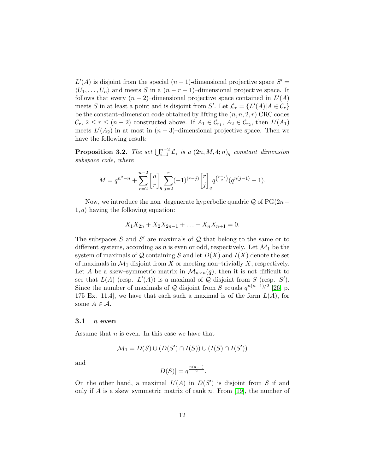$L'(A)$  is disjoint from the special  $(n-1)$ -dimensional projective space  $S' =$  $\langle U_1, \ldots, U_n \rangle$  and meets S in a  $(n - r - 1)$ –dimensional projective space. It follows that every  $(n-2)$ -dimensional projective space contained in  $L'(A)$ meets S in at least a point and is disjoint from S'. Let  $\mathcal{L}_r = \{L'(A) | A \in \mathcal{C}_r\}$ be the constant–dimension code obtained by lifting the  $(n, n, 2, r)$  CRC codes  $\mathcal{C}_r, 2 \leq r \leq (n-2)$  constructed above. If  $A_1 \in \mathcal{C}_{r_1}, A_2 \in \mathcal{C}_{r_2}$ , then  $L'(A_1)$ meets  $L'(A_2)$  in at most in  $(n-3)$ –dimensional projective space. Then we have the following result:

**Proposition 3.2.** The set  $\bigcup_{i=1}^{n-2} \mathcal{L}_i$  is a  $(2n, M, 4; n)_q$  constant-dimension subspace code, where

$$
M=q^{n^2-n}+\sum_{r=2}^{n-2}\genfrac{[}{]}{0pt}{}{n}{r}_q\sum_{j=2}^r(-1)^{(r-j)}\genfrac{[}{]}{0pt}{}{r}{j}_q^{(r-j)}(q^{n(j-1)}-1).
$$

Now, we introduce the non–degenerate hyperbolic quadric  $\mathcal Q$  of PG(2n−  $1, q$ ) having the following equation:

$$
X_1 X_{2n} + X_2 X_{2n-1} + \ldots + X_n X_{n+1} = 0.
$$

The subspaces  $S$  and  $S'$  are maximals of  $\mathcal Q$  that belong to the same or to different systems, according as n is even or odd, respectively. Let  $\mathcal{M}_1$  be the system of maximals of  $Q$  containing S and let  $D(X)$  and  $I(X)$  denote the set of maximals in  $\mathcal{M}_1$  disjoint from X or meeting non–trivially X, respectively. Let A be a skew–symmetric matrix in  $\mathcal{M}_{n\times n}(q)$ , then it is not difficult to see that  $L(A)$  (resp.  $L'(A)$ ) is a maximal of Q disjoint from S (resp. S'). Since the number of maximals of Q disjoint from S equals  $q^{n(n-1)/2}$  [\[26,](#page-18-11) p. 175 Ex. 11.4, we have that each such a maximal is of the form  $L(A)$ , for some  $A \in \mathcal{A}$ .

#### $3.1$  *n* even

Assume that  $n$  is even. In this case we have that

$$
\mathcal{M}_1 = D(S) \cup (D(S') \cap I(S)) \cup (I(S) \cap I(S'))
$$

and

$$
|D(S)| = q^{\frac{n(n-1)}{2}}.
$$

On the other hand, a maximal  $L'(A)$  in  $D(S')$  is disjoint from S if and only if A is a skew–symmetric matrix of rank n. From [\[19\]](#page-18-12), the number of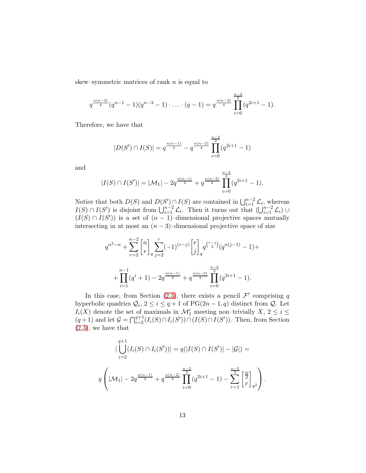skew–symmetric matrices of rank  $n$  is equal to

$$
q^{\frac{n(n-2)}{4}}(q^{n-1}-1)(q^{n-3}-1)\cdot\ldots\cdot(q-1)=q^{\frac{n(n-2)}{4}}\prod_{i=0}^{\frac{n-2}{2}}(q^{2i+1}-1).
$$

Therefore, we have that

$$
|D(S') \cap I(S)| = q^{\frac{n(n-1)}{2}} - q^{\frac{n(n-2)}{4}} \prod_{i=0}^{\frac{n-2}{2}} (q^{2i+1} - 1)
$$

and

$$
|I(S) \cap I(S')| = |\mathcal{M}_1| - 2q^{\frac{n(n-1)}{2}} + q^{\frac{n(n-2)}{4}} \prod_{i=0}^{\frac{n-2}{2}} (q^{2i+1} - 1).
$$

Notice that both  $D(S)$  and  $D(S') \cap I(S)$  are contained in  $\bigcup_{i=1}^{n-2} \mathcal{L}_i$ , whereas  $I(S) \cap I(S')$  is disjoint from  $\bigcup_{i=1}^{n-2} \mathcal{L}_i$ . Then it turns out that  $\bigcup_{i=1}^{n-2} \mathcal{L}_i$   $\cup$  $(I(S) \cap I(S'))$  is a set of  $(n-1)$ –dimensional projective spaces mutually intersecting in at most an  $(n-3)$ –dimensional projective space of size

$$
q^{n^{2}-n} + \sum_{r=2}^{n-2} {n \brack r}_{q} \sum_{j=2}^{r} (-1)^{(r-j)} {r \brack j}_{q} q^{r-j} (q^{n(j-1)} - 1) +
$$
  
+ 
$$
\prod_{i=1}^{n-1} (q^{i} + 1) - 2q^{\frac{n(n-1)}{2}} + q^{\frac{n(n-2)}{4}} \prod_{i=0}^{\frac{n-2}{2}} (q^{2i+1} - 1).
$$

In this case, from Section [\(2.3\)](#page-5-0), there exists a pencil  $\mathcal{F}'$  comprising q hyperbolic quadrics  $Q_i$ ,  $2 \leq i \leq q+1$  of  $PG(2n-1, q)$  distinct from  $Q$ . Let  $I_i(X)$  denote the set of maximals in  $\mathcal{M}_1^i$  meeting non-trivially  $X, 2 \leq i \leq$  $(q+1)$  and let  $\mathcal{G} = \bigcap_{i=2}^{q+1} (I_i(S) \cap I_i(S')) \cap (I(S) \cap I(S'))$ . Then, from Section [\(2.3\)](#page-5-0), we have that

$$
|\bigcup_{i=2}^{q+1} (I_i(S) \cap I_i(S'))| = q(|I(S) \cap I(S')| - |\mathcal{G}|) =
$$
  

$$
q\left(|\mathcal{M}_1| - 2q^{\frac{n(n-1)}{2}} + q^{\frac{n(n-2)}{4}} \prod_{i=0}^{\frac{n-2}{2}} (q^{2i+1} - 1) - \sum_{r=1}^{\frac{n-2}{2}} \left[\frac{n}{r}\right]_{q^2}\right).
$$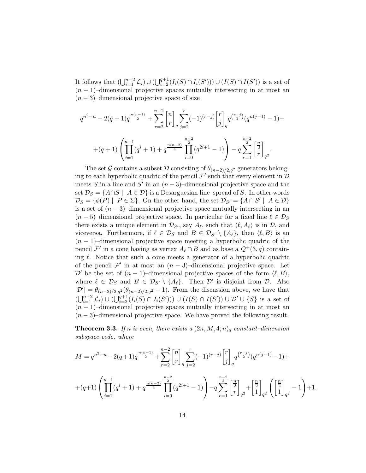It follows that  $(\bigcup_{i=1}^{n-2} \mathcal{L}_i) \cup (\bigcup_{i=2}^{q+1} (I_i(S) \cap I_i(S'))) \cup (I(S) \cap I(S'))$  is a set of  $(n-1)$ –dimensional projective spaces mutually intersecting in at most an  $(n-3)$ –dimensional projective space of size

$$
q^{n^{2}-n} - 2(q+1)q^{\frac{n(n-1)}{2}} + \sum_{r=2}^{n-2} {n \choose r} \sum_{j=2}^{r} (-1)^{(r-j)} {r \choose j} q^{r-j} (q^{n(j-1)} - 1) +
$$
  
+
$$
(q+1)\left(\prod_{i=1}^{n-1} (q^{i}+1) + q^{\frac{n(n-2)}{4}} \prod_{i=0}^{\frac{n-2}{2}} (q^{2i+1} - 1)\right) - q \sum_{r=1}^{\frac{n-2}{2}} {n \choose r} \frac{1}{q^{2}}.
$$

The set G contains a subset D consisting of  $\theta_{(n-2)/2,q^2}$  generators belonging to each hyperbolic quadric of the pencil  $\mathcal{F}'$  such that every element in  $\mathcal{D}$ meets S in a line and S' in an  $(n-3)$ –dimensional projective space and the set  $\mathcal{D}_S = \{A \cap S \mid A \in \mathcal{D}\}\$ is a Desarguesian line–spread of S. In other words  $\mathcal{D}_S = \{ \phi(P) \mid P \in \Sigma \}.$  On the other hand, the set  $\mathcal{D}_{S'} = \{ A \cap S' \mid A \in \mathcal{D} \}$ is a set of  $(n-3)$ –dimensional projective space mutually intersecting in an  $(n-5)$ –dimensional projective space. In particular for a fixed line  $\ell \in \mathcal{D}_S$ there exists a unique element in  $\mathcal{D}_{S'}$ , say  $A_{\ell}$ , such that  $\langle \ell, A_{\ell} \rangle$  is in  $\mathcal{D}$ , and viceversa. Furthermore, if  $\ell \in \mathcal{D}_S$  and  $B \in \mathcal{D}_{S'} \setminus \{A_\ell\}$ , then  $\langle \ell, B \rangle$  is an  $(n-1)$ –dimensional projective space meeting a hyperbolic quadric of the pencil  $\mathcal{F}'$  in a cone having as vertex  $A_{\ell} \cap B$  and as base a  $\mathcal{Q}^+(3, q)$  containing  $\ell$ . Notice that such a cone meets a generator of a hyperbolic quadric of the pencil  $\mathcal{F}'$  in at most an  $(n-3)$ –dimensional projective space. Let  $\mathcal{D}'$  be the set of  $(n-1)$ –dimensional projective spaces of the form  $\langle \ell, B \rangle$ , where  $\ell \in \mathcal{D}_S$  and  $B \in \mathcal{D}_{S'} \setminus \{A_\ell\}$ . Then  $\mathcal{D}'$  is disjoint from  $\mathcal{D}$ . Also  $|\mathcal{D}'| = \theta_{(n-2)/2,q^2}(\theta_{(n-2)/2,q^2} - 1)$ . From the discussion above, we have that  $(\bigcup_{i=1}^{n-2} \mathcal{L}_i) \cup (\bigcup_{i=2}^{q+1} (I_i(S) \cap I_i(S'))) \cup (I(S) \cap I(S')) \cup \mathcal{D}' \cup \{S\}$  is a set of  $(n-1)$ –dimensional projective spaces mutually intersecting in at most an  $(n-3)$ –dimensional projective space. We have proved the following result.

<span id="page-13-0"></span>**Theorem 3.3.** If n is even, there exists a  $(2n, M, 4; n)$ <sub>q</sub> constant-dimension subspace code, where

$$
M = q^{n^2 - n} - 2(q+1)q^{\frac{n(n-1)}{2}} + \sum_{r=2}^{n-2} {n \choose r} \sum_{j=2}^{r} (-1)^{(r-j)} {r \choose j} q^{r-j} (q^{n(j-1)} - 1) +
$$
  
+
$$
(q+1) \left( \prod_{i=1}^{n-1} (q^i + 1) + q^{\frac{n(n-2)}{4}} \prod_{i=0}^{\frac{n-2}{2}} (q^{2i+1} - 1) \right) - q \sum_{r=1}^{n-2} {n \choose r} \frac{1}{q^2} + {n \choose 2} \frac{1}{q^2} \left( \left[ \frac{n}{2} \right]_{q^2} - 1 \right) + 1.
$$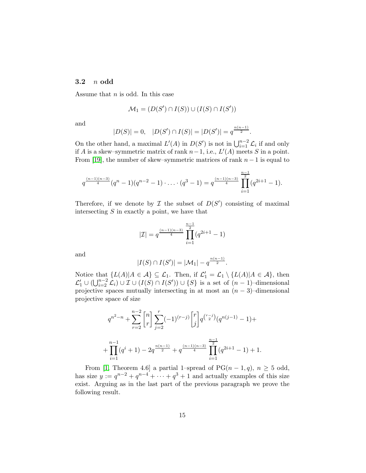#### 3.2 n odd

Assume that  $n$  is odd. In this case

$$
\mathcal{M}_1 = (D(S') \cap I(S)) \cup (I(S) \cap I(S'))
$$

and

$$
|D(S)| = 0, \quad |D(S') \cap I(S)| = |D(S')| = q^{\frac{n(n-1)}{2}}.
$$

On the other hand, a maximal  $L'(A)$  in  $D(S')$  is not in  $\bigcup_{i=1}^{n-2} \mathcal{L}_i$  if and only if A is a skew–symmetric matrix of rank  $n-1$ , i.e.,  $L'(A)$  meets S in a point. From [\[19\]](#page-18-12), the number of skew–symmetric matrices of rank  $n-1$  is equal to

$$
q^{\frac{(n-1)(n-3)}{4}}(q^{n}-1)(q^{n-2}-1)\cdot\ldots\cdot(q^{3}-1)=q^{\frac{(n-1)(n-3)}{4}}\prod_{i=1}^{\frac{n-1}{2}}(q^{2i+1}-1).
$$

Therefore, if we denote by  $\mathcal I$  the subset of  $D(S')$  consisting of maximal intersecting  $S$  in exactly a point, we have that

$$
|\mathcal{I}| = q^{\frac{(n-1)(n-3)}{4}} \prod_{i=1}^{\frac{n-1}{2}} (q^{2i+1} - 1)
$$

and

$$
|I(S) \cap I(S')| = |\mathcal{M}_1| - q^{\frac{n(n-1)}{2}}.
$$

Notice that  $\{L(A)|A \in \mathcal{A}\} \subseteq \mathcal{L}_1$ . Then, if  $\mathcal{L}'_1 = \mathcal{L}_1 \setminus \{L(A)|A \in \mathcal{A}\}$ , then  $\mathcal{L}'_1 \cup (\bigcup_{i=2}^{n-2} \mathcal{L}_i) \cup \mathcal{I} \cup (I(S) \cap I(S')) \cup \{S\}$  is a set of  $(n-1)$ –dimensional projective spaces mutually intersecting in at most an  $(n-3)$ –dimensional projective space of size

$$
q^{n^2-n} + \sum_{r=2}^{n-2} \binom{n}{r} \sum_{j=2}^r (-1)^{(r-j)} \binom{r}{j} q^{\binom{r-j}{2}} (q^{n(j-1)} - 1) +
$$
  
+ 
$$
\prod_{i=1}^{n-1} (q^i + 1) - 2q^{\frac{n(n-1)}{2}} + q^{\frac{(n-1)(n-3)}{4}} \prod_{i=1}^{\frac{n-1}{2}} (q^{2i+1} - 1) + 1.
$$

From [\[1,](#page-17-11) Theorem 4.6] a partial 1–spread of  $PG(n-1, q)$ ,  $n \geq 5$  odd, has size  $y := q^{n-2} + q^{n-4} + \cdots + q^3 + 1$  and actually examples of this size exist. Arguing as in the last part of the previous paragraph we prove the following result.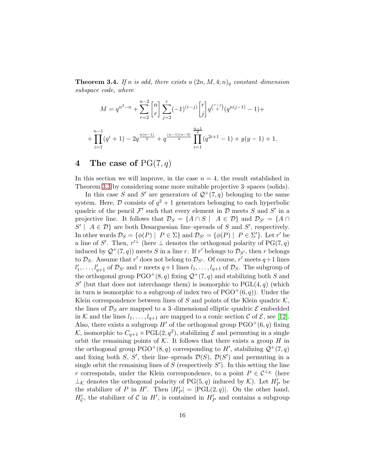<span id="page-15-0"></span>**Theorem 3.4.** If n is odd, there exists a  $(2n, M, 4; n)$ <sub>q</sub> constant-dimension subspace code, where

$$
M = q^{n^2 - n} + \sum_{r=2}^{n-2} {n \choose r} \sum_{j=2}^r (-1)^{(r-j)} {r \choose j} q^{r-j} (q^{n(j-1)} - 1) +
$$
  
+ 
$$
\prod_{i=1}^{n-1} (q^i + 1) - 2q^{\frac{n(n-1)}{2}} + q^{\frac{(n-1)(n-3)}{4}} \prod_{i=1}^{\frac{n-1}{2}} (q^{2i+1} - 1) + y(y - 1) + 1.
$$

## 4 The case of  $PG(7, q)$

In this section we will improve, in the case  $n = 4$ , the result established in Theorem [3.3](#page-13-0) by considering some more suitable projective 3–spaces (solids).

In this case S and S' are generators of  $\mathcal{Q}^+(7,q)$  belonging to the same system. Here,  $\mathcal D$  consists of  $q^2+1$  generators belonging to each hyperbolic quadric of the pencil  $\mathcal{F}'$  such that every element in  $\mathcal{D}$  meets S and S' in a projective line. It follows that  $\mathcal{D}_S = \{A \cap S \mid A \in \mathcal{D}\}\$ and  $\mathcal{D}_{S'} = \{A \cap S \mid A \in \mathcal{D}\}\$  $S' \mid A \in \mathcal{D}$  are both Desarguesian line–spreads of S and S', respectively. In other words  $\mathcal{D}_S = \{ \phi(P) \mid P \in \Sigma \}$  and  $\mathcal{D}_{S'} = \{ \phi(P) \mid P \in \Sigma' \}$ . Let r' be a line of S'. Then,  $r'^{\perp}$  (here  $\perp$  denotes the orthogonal polarity of PG(7,q) induced by  $\mathcal{Q}^+(7,q)$  meets S in a line r. If r' belongs to  $\mathcal{D}_{S'}$ , then r belongs to  $\mathcal{D}_S$ . Assume that r' does not belong to  $\mathcal{D}_{S'}$ . Of course, r' meets  $q+1$  lines  $l'_1$  $l'_1, \ldots, l'_{q+1}$  of  $\mathcal{D}_{S'}$  and r meets  $q+1$  lines  $l_1, \ldots, l_{q+1}$  of  $\mathcal{D}_S$ . The subgroup of the orthogonal group  $PGO^+(8, q)$  fixing  $\mathcal{Q}^+(7, q)$  and stabilizing both S and S' (but that does not interchange them) is isomorphic to  $PGL(4, q)$  (which in turn is isomorphic to a subgroup of index two of  $PGO^+(6, q)$ . Under the Klein correspondence between lines of S and points of the Klein quadric  $\mathcal{K}$ , the lines of  $\mathcal{D}_S$  are mapped to a 3-dimensional elliptic quadric  $\mathcal E$  embedded in K and the lines  $l_1, \ldots, l_{q+1}$  are mapped to a conic section C of E, see [\[12\]](#page-17-12). Also, there exists a subgroup  $H'$  of the orthogonal group  $PGO^+(6, q)$  fixing K, isomorphic to  $C_{q+1} \times \text{PGL}(2, q^2)$ , stabilizing  $\mathcal E$  and permuting in a single orbit the remaining points of  $K$ . It follows that there exists a group H in the orthogonal group  $PGO^+(8,q)$  corresponding to H', stabilizing  $\mathcal{Q}^+(7,q)$ and fixing both S, S', their line–spreads  $\mathcal{D}(S)$ ,  $\mathcal{D}(S')$  and permuting in a single orbit the remaining lines of S (respectively  $S'$ ). In this setting the line r corresponds, under the Klein correspondence, to a point  $P \in \mathcal{C}^{\perp_{\mathcal{K}}}$  (here  $\perp_{\mathcal{K}}$  denotes the orthogonal polarity of PG(5, q) induced by  $\mathcal{K}$ ). Let  $H'_{P}$  be the stabilizer of P in  $H'$ . Then  $|H'_{P}| = |\widehat{PGL}(2,q)|$ . On the other hand,  $H'_{\mathcal{C}}$ , the stabilizer of  $\mathcal{C}$  in  $H'$ , is contained in  $H'_{P}$  and contains a subgroup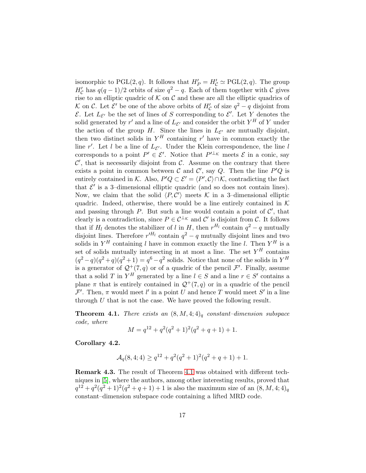isomorphic to PGL $(2, q)$ . It follows that  $H'_P = H'_C \simeq \text{PGL}(2, q)$ . The group  $H'_{\mathcal{C}}$  has  $q(q-1)/2$  orbits of size  $q^2-q$ . Each of them together with  $\mathcal{C}$  gives rise to an elliptic quadric of  $K$  on  $C$  and these are all the elliptic quadrics of K on C. Let  $\mathcal{E}'$  be one of the above orbits of  $H'_{\mathcal{C}}$  of size  $q^2 - q$  disjoint from  $\mathcal{E}$ . Let  $L_{\mathcal{E}'}$  be the set of lines of S corresponding to  $\mathcal{E}'$ . Let Y denotes the solid generated by  $r'$  and a line of  $L_{\mathcal{E}'}$  and consider the orbit  $Y^H$  of Y under the action of the group H. Since the lines in  $L_{\mathcal{E}'}$  are mutually disjoint, then two distinct solids in  $Y^H$  containing r' have in common exactly the line r'. Let l be a line of  $L_{\mathcal{E}'}$ . Under the Klein correspondence, the line l corresponds to a point  $P' \in \mathcal{E}'$ . Notice that  $P'^{\perp_{\mathcal{K}}}$  meets  $\mathcal E$  in a conic, say  $\mathcal{C}'$ , that is necessarily disjoint from  $\mathcal{C}$ . Assume on the contrary that there exists a point in common between  $\mathcal C$  and  $\mathcal C'$ , say  $Q$ . Then the line  $P'Q$  is entirely contained in K. Also,  $P'Q \subset \mathcal{E}' = \langle P', C \rangle \cap \mathcal{K}$ , contradicting the fact that  $\mathcal{E}'$  is a 3-dimensional elliptic quadric (and so does not contain lines). Now, we claim that the solid  $\langle P, C' \rangle$  meets K in a 3-dimensional elliptic quadric. Indeed, otherwise, there would be a line entirely contained in  $K$ and passing through  $P$ . But such a line would contain a point of  $\mathcal{C}'$ , that clearly is a contradiction, since  $P \in C^{\perp_{\mathcal{K}}}$  and C' is disjoint from C. It follows that if  $H_l$  denotes the stabilizer of l in H, then  $r^{H_l}$  contain  $q^2 - q$  mutually disjoint lines. Therefore  $r'^{H_l}$  contain  $q^2 - q$  mutually disjoint lines and two solids in  $Y^H$  containing l have in common exactly the line l. Then  $Y^H$  is a set of solids mutually intersecting in at most a line. The set  $Y^H$  contains  $(q^2-q)(q^2+q)(q^2+1)=q^6-q^2$  solids. Notice that none of the solids in  $Y^H$ is a generator of  $\mathcal{Q}^+(7,q)$  or of a quadric of the pencil  $\mathcal{F}'$ . Finally, assume that a solid T in  $Y^H$  generated by a line  $l \in S$  and a line  $r \in S'$  contains a plane  $\pi$  that is entirely contained in  $\mathcal{Q}^+(7,q)$  or in a quadric of the pencil  $\mathcal{F}'$ . Then,  $\pi$  would meet l' in a point U and hence T would meet S' in a line through  $U$  that is not the case. We have proved the following result.

<span id="page-16-0"></span>**Theorem 4.1.** There exists an  $(8, M, 4; 4)_q$  constant-dimension subspace code, where

$$
M = q^{12} + q^2(q^2+1)^2(q^2+q+1) + 1.
$$

Corollary 4.2.

$$
\mathcal{A}_q(8,4;4) \ge q^{12} + q^2(q^2+1)^2(q^2+q+1) + 1.
$$

Remark 4.3. The result of Theorem [4.1](#page-16-0) was obtained with different techniques in [\[5\]](#page-17-0), where the authors, among other interesting results, proved that  $q^{12} + q^2(q^2+1)^2(q^2+q+1) + 1$  is also the maximum size of an  $(8, M, 4; 4)_q$ constant–dimension subspace code containing a lifted MRD code.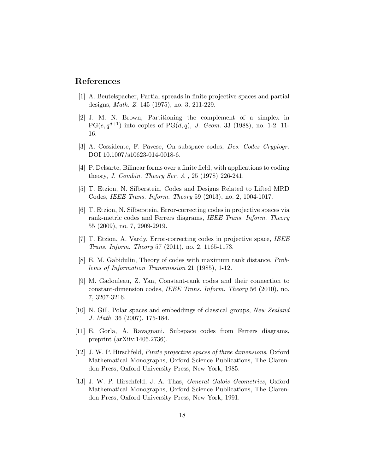## <span id="page-17-11"></span>References

- <span id="page-17-10"></span>[1] A. Beutelspacher, Partial spreads in finite projective spaces and partial designs, Math. Z. 145 (1975), no. 3, 211-229.
- [2] J. M. N. Brown, Partitioning the complement of a simplex in  $PG(e, q^{d+1})$  into copies of  $PG(d, q)$ , J. Geom. 33 (1988), no. 1-2. 11-16.
- <span id="page-17-6"></span><span id="page-17-5"></span>[3] A. Cossidente, F. Pavese, On subspace codes, Des. Codes Cryptogr. DOI 10.1007/s10623-014-0018-6.
- <span id="page-17-0"></span>[4] P. Delsarte, Bilinear forms over a finite field, with applications to coding theory, J. Combin. Theory Ser. A , 25 (1978) 226-241.
- <span id="page-17-1"></span>[5] T. Etzion, N. Silberstein, Codes and Designs Related to Lifted MRD Codes, IEEE Trans. Inform. Theory 59 (2013), no. 2, 1004-1017.
- [6] T. Etzion, N. Silberstein, Error-correcting codes in projective spaces via rank-metric codes and Ferrers diagrams, IEEE Trans. Inform. Theory 55 (2009), no. 7, 2909-2919.
- <span id="page-17-2"></span>[7] T. Etzion, A. Vardy, Error-correcting codes in projective space, IEEE Trans. Inform. Theory 57 (2011), no. 2, 1165-1173.
- <span id="page-17-7"></span><span id="page-17-3"></span>[8] E. M. Gabidulin, Theory of codes with maximum rank distance, Problems of Information Transmission 21 (1985), 1-12.
- [9] M. Gadouleau, Z. Yan, Constant-rank codes and their connection to constant-dimension codes, IEEE Trans. Inform. Theory 56 (2010), no. 7, 3207-3216.
- <span id="page-17-9"></span>[10] N. Gill, Polar spaces and embeddings of classical groups, New Zealand J. Math. 36 (2007), 175-184.
- <span id="page-17-4"></span>[11] E. Gorla, A. Ravagnani, Subspace codes from Ferrers diagrams, preprint (arXiiv:1405.2736).
- <span id="page-17-12"></span>[12] J. W. P. Hirschfeld, Finite projective spaces of three dimensions, Oxford Mathematical Monographs, Oxford Science Publications, The Clarendon Press, Oxford University Press, New York, 1985.
- <span id="page-17-8"></span>[13] J. W. P. Hirschfeld, J. A. Thas, *General Galois Geometries*, Oxford Mathematical Monographs, Oxford Science Publications, The Clarendon Press, Oxford University Press, New York, 1991.